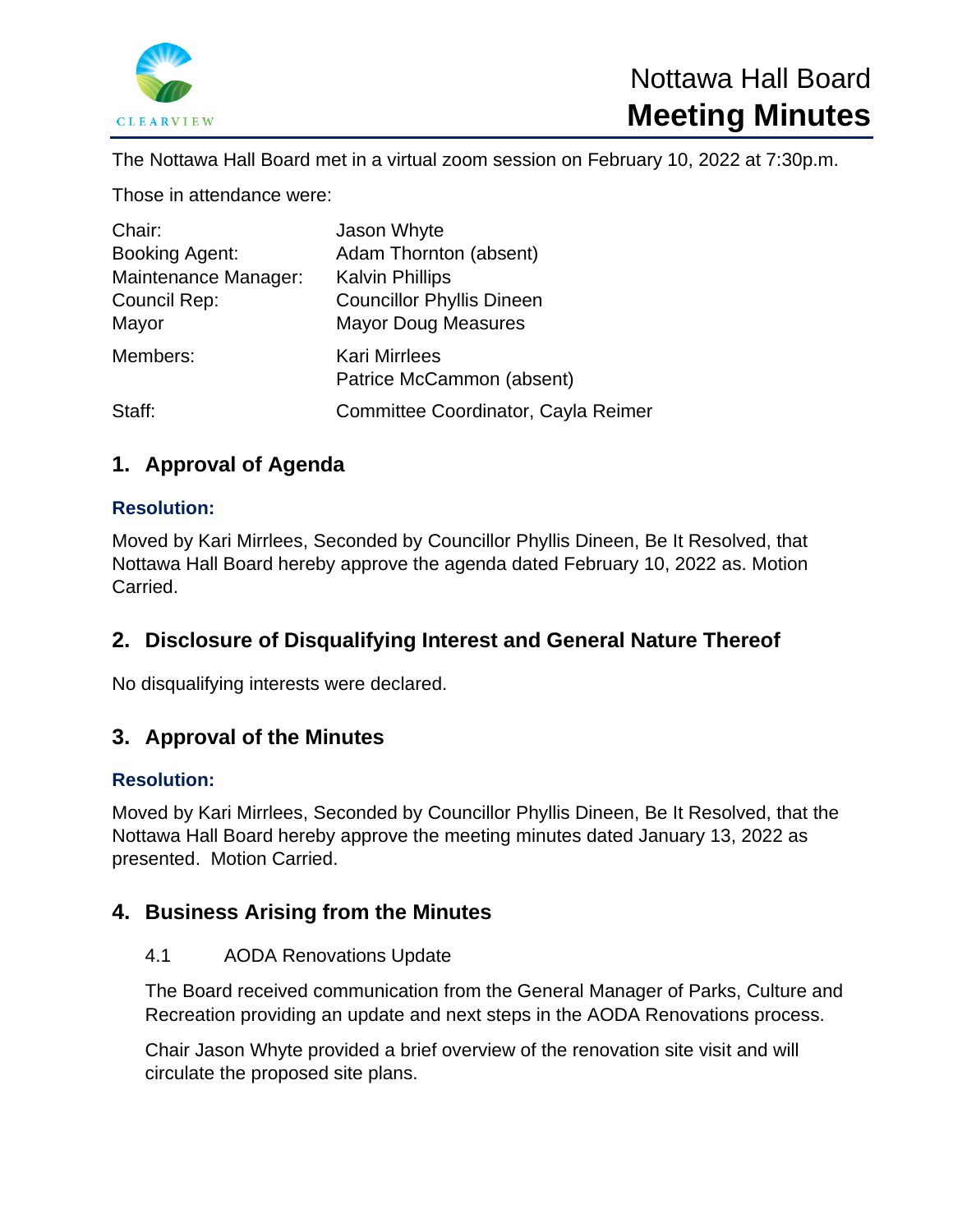

The Nottawa Hall Board met in a virtual zoom session on February 10, 2022 at 7:30p.m.

Those in attendance were:

| Chair:<br><b>Booking Agent:</b><br>Maintenance Manager:<br>Council Rep:<br>Mayor | Jason Whyte<br>Adam Thornton (absent)<br><b>Kalvin Phillips</b><br><b>Councillor Phyllis Dineen</b><br><b>Mayor Doug Measures</b> |
|----------------------------------------------------------------------------------|-----------------------------------------------------------------------------------------------------------------------------------|
| Members:                                                                         | <b>Kari Mirrlees</b><br>Patrice McCammon (absent)                                                                                 |
| Staff:                                                                           | Committee Coordinator, Cayla Reimer                                                                                               |

# **1. Approval of Agenda**

### **Resolution:**

Moved by Kari Mirrlees, Seconded by Councillor Phyllis Dineen, Be It Resolved, that Nottawa Hall Board hereby approve the agenda dated February 10, 2022 as. Motion Carried.

## **2. Disclosure of Disqualifying Interest and General Nature Thereof**

No disqualifying interests were declared.

## **3. Approval of the Minutes**

### **Resolution:**

Moved by Kari Mirrlees, Seconded by Councillor Phyllis Dineen, Be It Resolved, that the Nottawa Hall Board hereby approve the meeting minutes dated January 13, 2022 as presented. Motion Carried.

## **4. Business Arising from the Minutes**

#### 4.1 AODA Renovations Update

The Board received communication from the General Manager of Parks, Culture and Recreation providing an update and next steps in the AODA Renovations process.

Chair Jason Whyte provided a brief overview of the renovation site visit and will circulate the proposed site plans.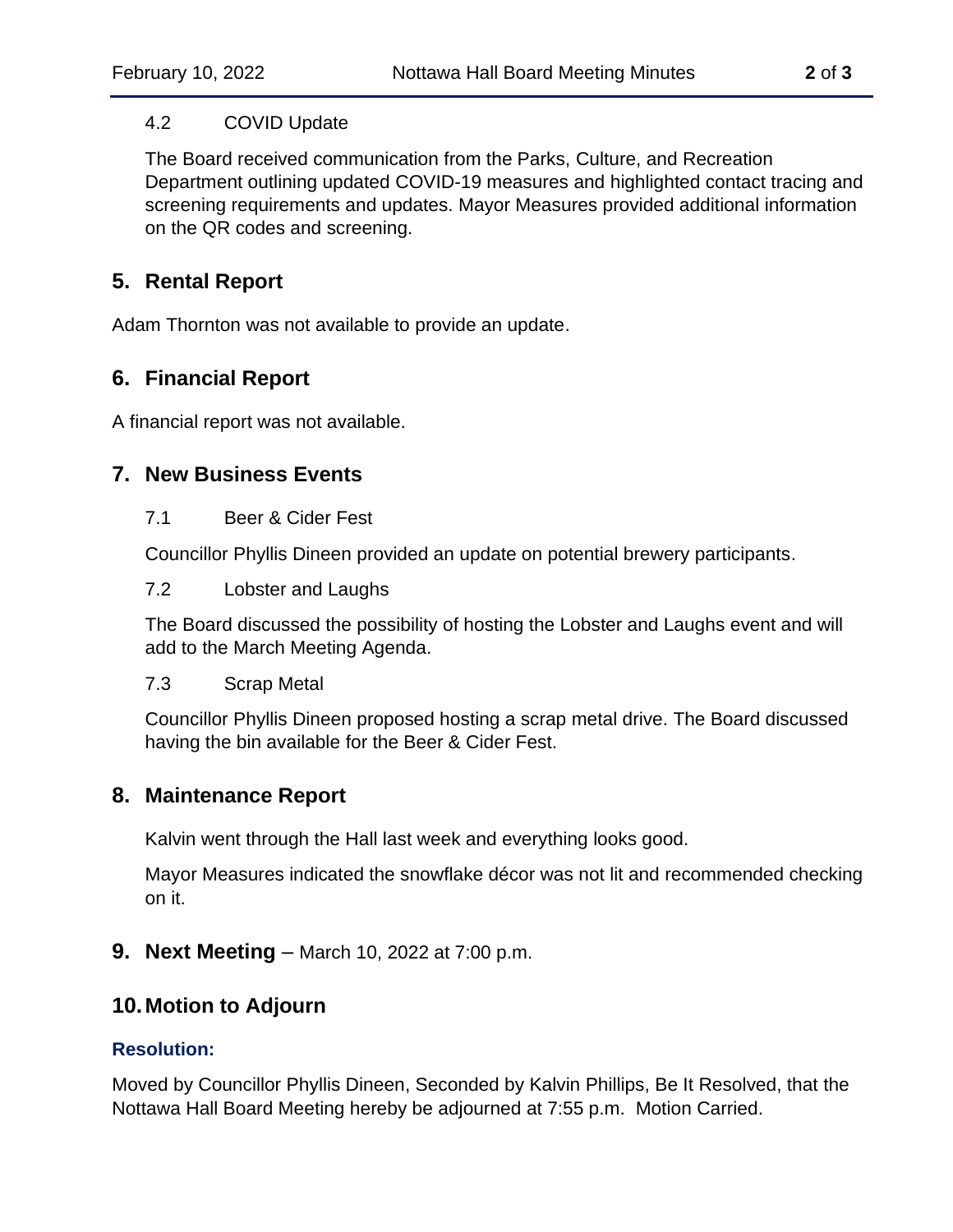### 4.2 COVID Update

The Board received communication from the Parks, Culture, and Recreation Department outlining updated COVID-19 measures and highlighted contact tracing and screening requirements and updates. Mayor Measures provided additional information on the QR codes and screening.

# **5. Rental Report**

Adam Thornton was not available to provide an update.

# **6. Financial Report**

A financial report was not available.

# **7. New Business Events**

### 7.1 Beer & Cider Fest

Councillor Phyllis Dineen provided an update on potential brewery participants.

### 7.2 Lobster and Laughs

The Board discussed the possibility of hosting the Lobster and Laughs event and will add to the March Meeting Agenda.

#### 7.3 Scrap Metal

Councillor Phyllis Dineen proposed hosting a scrap metal drive. The Board discussed having the bin available for the Beer & Cider Fest.

## **8. Maintenance Report**

Kalvin went through the Hall last week and everything looks good.

Mayor Measures indicated the snowflake décor was not lit and recommended checking on it.

## **9. Next Meeting** – March 10, 2022 at 7:00 p.m.

## **10.Motion to Adjourn**

### **Resolution:**

Moved by Councillor Phyllis Dineen, Seconded by Kalvin Phillips, Be It Resolved, that the Nottawa Hall Board Meeting hereby be adjourned at 7:55 p.m. Motion Carried.